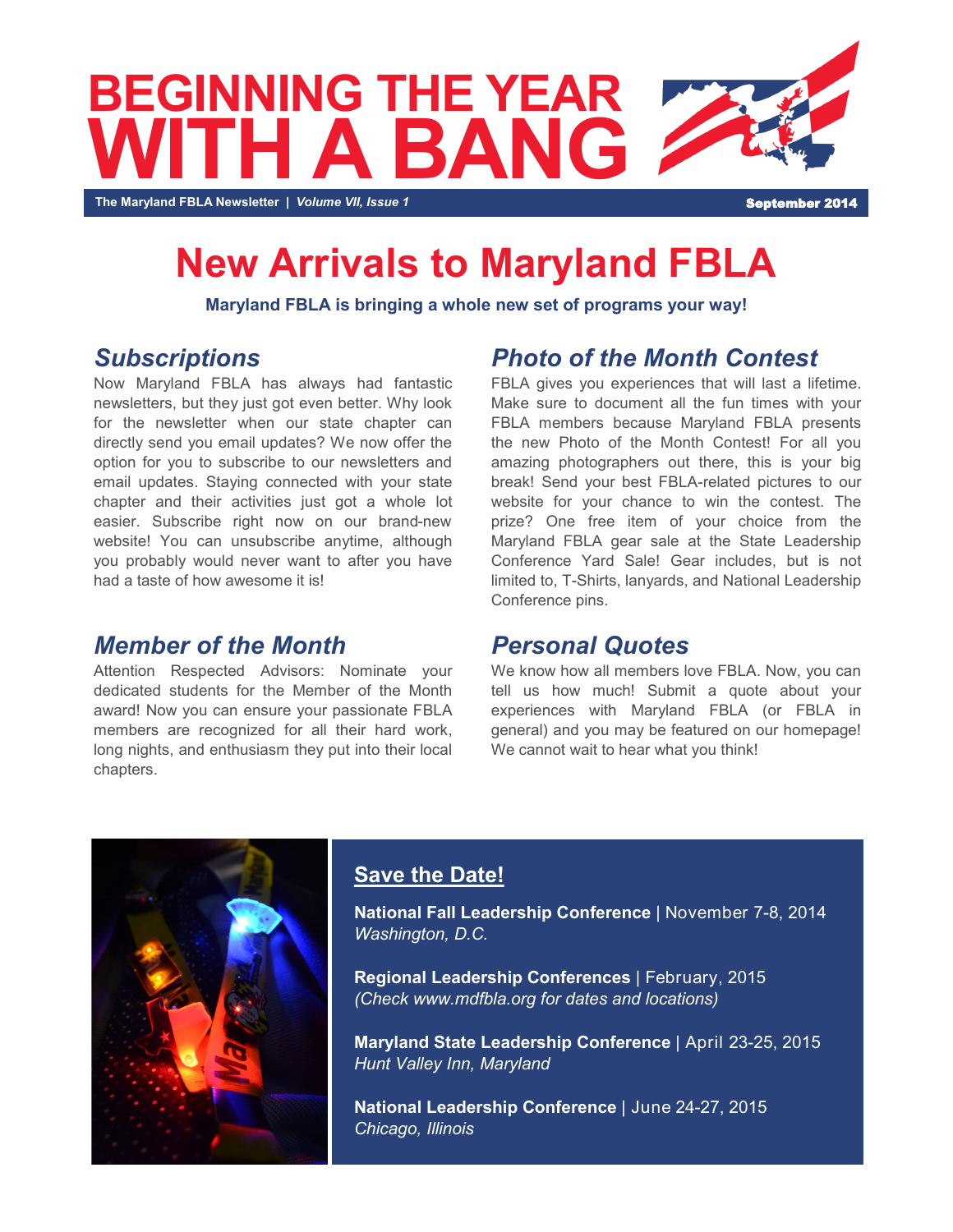

## **New Arrivals to Maryland FBLA**

**Maryland FBLA is bringing a whole new set of programs your way!** 

## *Subscriptions*

Now Maryland FBLA has always had fantastic newsletters, but they just got even better. Why look for the newsletter when our state chapter can directly send you email updates? We now offer the option for you to subscribe to our newsletters and email updates. Staying connected with your state chapter and their activities just got a whole lot easier. Subscribe right now on our brand-new website! You can unsubscribe anytime, although you probably would never want to after you have had a taste of how awesome it is!

### *Member of the Month*

Attention Respected Advisors: Nominate your dedicated students for the Member of the Month award! Now you can ensure your passionate FBLA members are recognized for all their hard work, long nights, and enthusiasm they put into their local chapters.

## *Photo of the Month Contest*

FBLA gives you experiences that will last a lifetime. Make sure to document all the fun times with your FBLA members because Maryland FBLA presents the new Photo of the Month Contest! For all you amazing photographers out there, this is your big break! Send your best FBLA-related pictures to our website for your chance to win the contest. The prize? One free item of your choice from the Maryland FBLA gear sale at the State Leadership Conference Yard Sale! Gear includes, but is not limited to, T-Shirts, lanyards, and National Leadership Conference pins.

### *Personal Quotes*

We know how all members love FBLA. Now, you can tell us how much! Submit a quote about your experiences with Maryland FBLA (or FBLA in general) and you may be featured on our homepage! We cannot wait to hear what you think!



### **Save the Date!**

**National Fall Leadership Conference** | November 7-8, 2014 *Washington, D.C.*

**Regional Leadership Conferences** | February, 2015 *(Check www.mdfbla.org for dates and locations)*

**Maryland State Leadership Conference** | April 23-25, 2015 *Hunt Valley Inn, Maryland*

**National Leadership Conference** | June 24-27, 2015 *Chicago, Illinois*